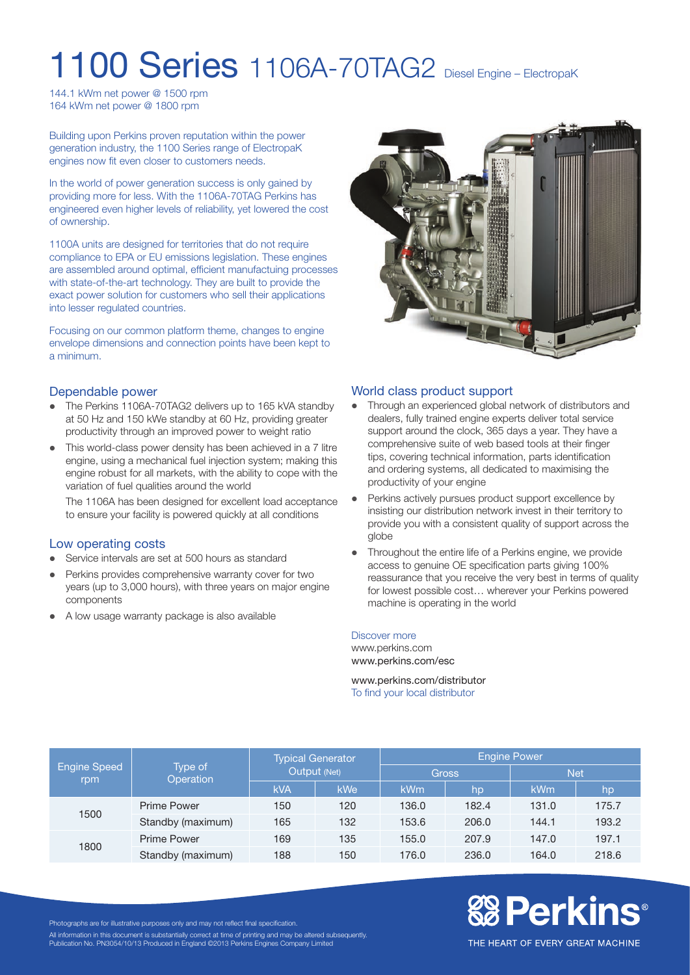# 1100 Series 1106A-70TAG2 Diesel Engine – ElectropaK

144.1 kWm net power @ 1500 rpm 164 kWm net power @ 1800 rpm

Building upon Perkins proven reputation within the power generation industry, the 1100 Series range of ElectropaK engines now fit even closer to customers needs.

In the world of power generation success is only gained by providing more for less. With the 1106A-70TAG Perkins has engineered even higher levels of reliability, yet lowered the cost of ownership.

1100A units are designed for territories that do not require compliance to EPA or EU emissions legislation. These engines are assembled around optimal, efficient manufactuing processes with state-of-the-art technology. They are built to provide the exact power solution for customers who sell their applications into lesser regulated countries.

Focusing on our common platform theme, changes to engine envelope dimensions and connection points have been kept to a minimum.

### Dependable power

- The Perkins 1106A-70TAG2 delivers up to 165 kVA standby at 50 Hz and 150 kWe standby at 60 Hz, providing greater productivity through an improved power to weight ratio
- This world-class power density has been achieved in a 7 litre engine, using a mechanical fuel injection system; making this engine robust for all markets, with the ability to cope with the variation of fuel qualities around the world

The 1106A has been designed for excellent load acceptance to ensure your facility is powered quickly at all conditions

### Low operating costs

- Service intervals are set at 500 hours as standard
- Perkins provides comprehensive warranty cover for two years (up to 3,000 hours), with three years on major engine components
- A low usage warranty package is also available



### World class product support

- Through an experienced global network of distributors and dealers, fully trained engine experts deliver total service support around the clock, 365 days a year. They have a comprehensive suite of web based tools at their finger tips, covering technical information, parts identification and ordering systems, all dedicated to maximising the productivity of your engine
- Perkins actively pursues product support excellence by insisting our distribution network invest in their territory to provide you with a consistent quality of support across the globe
- l Throughout the entire life of a Perkins engine, we provide access to genuine OE specification parts giving 100% reassurance that you receive the very best in terms of quality for lowest possible cost… wherever your Perkins powered machine is operating in the world

#### Discover more

www.perkins.com www.perkins.com/esc

www.perkins.com/distributor To find your local distributor

| <b>Engine Speed</b><br>rpm | Type of<br>Operation | <b>Typical Generator</b><br>Output (Net) |            | <b>Engine Power</b> |       |            |       |
|----------------------------|----------------------|------------------------------------------|------------|---------------------|-------|------------|-------|
|                            |                      |                                          |            | <b>Gross</b>        |       | <b>Net</b> |       |
|                            |                      | <b>kVA</b>                               | <b>kWe</b> | <b>kWm</b>          | hp    | <b>kWm</b> | hp    |
| 1500                       | Prime Power          | 150                                      | 120        | 136.0               | 182.4 | 131.0      | 175.7 |
|                            | Standby (maximum)    | 165                                      | 132        | 153.6               | 206.0 | 144.1      | 193.2 |
| 1800                       | <b>Prime Power</b>   | 169                                      | 135        | 155.0               | 207.9 | 147.0      | 197.1 |
|                            | Standby (maximum)    | 188                                      | 150        | 176.0               | 236.0 | 164.0      | 218.6 |

# **&B Perkins®**

Photographs are for illustrative purposes only and may not reflect final specification.

All information in this document is substantially correct at time of printing and may be altered subsequently. Publication No. PN3054/10/13 Produced in England ©2013 Perkins Engines Company Limited

THE HEART OF EVERY GREAT MACHINE